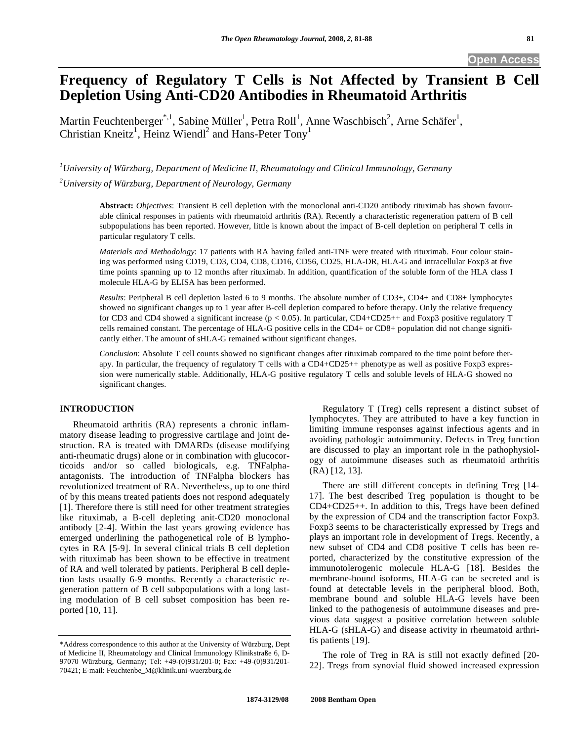# **Frequency of Regulatory T Cells is Not Affected by Transient B Cell Depletion Using Anti-CD20 Antibodies in Rheumatoid Arthritis**

Martin Feuchtenberger\*,<sup>1</sup>, Sabine Müller<sup>1</sup>, Petra Roll<sup>1</sup>, Anne Waschbisch<sup>2</sup>, Arne Schäfer<sup>1</sup>, Christian Kneitz<sup>1</sup>, Heinz Wiendl<sup>2</sup> and Hans-Peter Tony<sup>1</sup>

*1 University of Würzburg, Department of Medicine II, Rheumatology and Clinical Immunology, Germany 2 University of Würzburg, Department of Neurology, Germany* 

**Abstract:** *Objectives*: Transient B cell depletion with the monoclonal anti-CD20 antibody rituximab has shown favourable clinical responses in patients with rheumatoid arthritis (RA). Recently a characteristic regeneration pattern of B cell subpopulations has been reported. However, little is known about the impact of B-cell depletion on peripheral T cells in particular regulatory T cells.

*Materials and Methodology*: 17 patients with RA having failed anti-TNF were treated with rituximab. Four colour staining was performed using CD19, CD3, CD4, CD8, CD16, CD56, CD25, HLA-DR, HLA-G and intracellular Foxp3 at five time points spanning up to 12 months after rituximab. In addition, quantification of the soluble form of the HLA class I molecule HLA-G by ELISA has been performed.

*Results*: Peripheral B cell depletion lasted 6 to 9 months. The absolute number of CD3+, CD4+ and CD8+ lymphocytes showed no significant changes up to 1 year after B-cell depletion compared to before therapy. Only the relative frequency for CD3 and CD4 showed a significant increase (p < 0.05). In particular, CD4+CD25++ and Foxp3 positive regulatory T cells remained constant. The percentage of HLA-G positive cells in the CD4+ or CD8+ population did not change significantly either. The amount of sHLA-G remained without significant changes.

*Conclusion*: Absolute T cell counts showed no significant changes after rituximab compared to the time point before therapy. In particular, the frequency of regulatory T cells with a CD4+CD25++ phenotype as well as positive Foxp3 expression were numerically stable. Additionally, HLA-G positive regulatory T cells and soluble levels of HLA-G showed no significant changes.

## **INTRODUCTION**

 Rheumatoid arthritis (RA) represents a chronic inflammatory disease leading to progressive cartilage and joint destruction. RA is treated with DMARDs (disease modifying anti-rheumatic drugs) alone or in combination with glucocorticoids and/or so called biologicals, e.g. TNFalphaantagonists. The introduction of TNFalpha blockers has revolutionized treatment of RA. Nevertheless, up to one third of by this means treated patients does not respond adequately [1]. Therefore there is still need for other treatment strategies like rituximab, a B-cell depleting anit-CD20 monoclonal antibody [2-4]. Within the last years growing evidence has emerged underlining the pathogenetical role of B lymphocytes in RA [5-9]. In several clinical trials B cell depletion with rituximab has been shown to be effective in treatment of RA and well tolerated by patients. Peripheral B cell depletion lasts usually 6-9 months. Recently a characteristic regeneration pattern of B cell subpopulations with a long lasting modulation of B cell subset composition has been reported [10, 11].

\*Address correspondence to this author at the University of Würzburg, Dept of Medicine II, Rheumatology and Clinical Immunology Klinikstraße 6, D-97070 Würzburg, Germany; Tel: +49-(0)931/201-0; Fax: +49-(0)931/201- 70421; E-mail: Feuchtenbe\_M@klinik.uni-wuerzburg.de

 Regulatory T (Treg) cells represent a distinct subset of lymphocytes. They are attributed to have a key function in limiting immune responses against infectious agents and in avoiding pathologic autoimmunity. Defects in Treg function are discussed to play an important role in the pathophysiology of autoimmune diseases such as rheumatoid arthritis (RA) [12, 13].

 There are still different concepts in defining Treg [14- 17]. The best described Treg population is thought to be CD4+CD25++. In addition to this, Tregs have been defined by the expression of CD4 and the transcription factor Foxp3. Foxp3 seems to be characteristically expressed by Tregs and plays an important role in development of Tregs. Recently, a new subset of CD4 and CD8 positive T cells has been reported, characterized by the constitutive expression of the immunotolerogenic molecule HLA-G [18]. Besides the membrane-bound isoforms, HLA-G can be secreted and is found at detectable levels in the peripheral blood. Both, membrane bound and soluble HLA-G levels have been linked to the pathogenesis of autoimmune diseases and previous data suggest a positive correlation between soluble HLA-G (sHLA-G) and disease activity in rheumatoid arthritis patients [19].

 The role of Treg in RA is still not exactly defined [20- 22]. Tregs from synovial fluid showed increased expression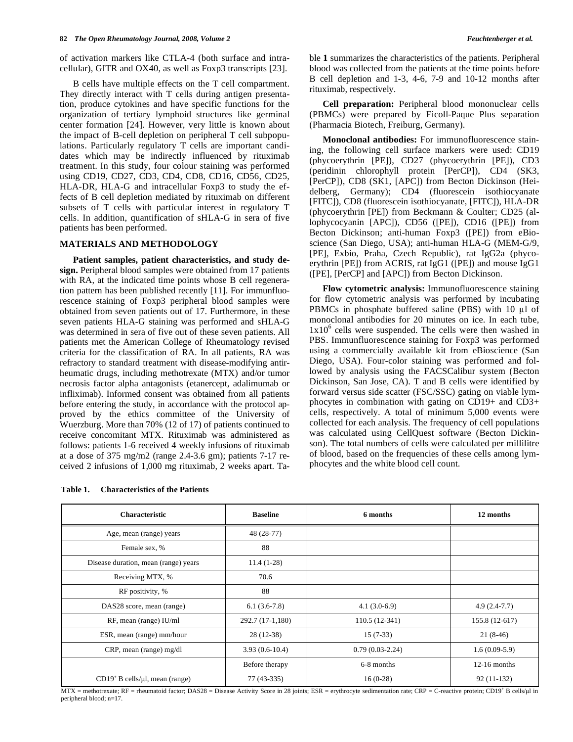of activation markers like CTLA-4 (both surface and intracellular), GITR and OX40, as well as Foxp3 transcripts [23].

 B cells have multiple effects on the T cell compartment. They directly interact with T cells during antigen presentation, produce cytokines and have specific functions for the organization of tertiary lymphoid structures like germinal center formation [24]. However, very little is known about the impact of B-cell depletion on peripheral T cell subpopulations. Particularly regulatory T cells are important candidates which may be indirectly influenced by rituximab treatment. In this study, four colour staining was performed using CD19, CD27, CD3, CD4, CD8, CD16, CD56, CD25, HLA-DR, HLA-G and intracellular Foxp3 to study the effects of B cell depletion mediated by rituximab on different subsets of T cells with particular interest in regulatory T cells. In addition, quantification of sHLA-G in sera of five patients has been performed.

#### **MATERIALS AND METHODOLOGY**

 **Patient samples, patient characteristics, and study design.** Peripheral blood samples were obtained from 17 patients with RA, at the indicated time points whose B cell regeneration pattern has been published recently [11]. For immunfluorescence staining of Foxp3 peripheral blood samples were obtained from seven patients out of 17. Furthermore, in these seven patients HLA-G staining was performed and sHLA-G was determined in sera of five out of these seven patients. All patients met the American College of Rheumatology revised criteria for the classification of RA. In all patients, RA was refractory to standard treatment with disease-modifying antirheumatic drugs, including methotrexate (MTX) and/or tumor necrosis factor alpha antagonists (etanercept, adalimumab or infliximab). Informed consent was obtained from all patients before entering the study, in accordance with the protocol approved by the ethics committee of the University of Wuerzburg. More than 70% (12 of 17) of patients continued to receive concomitant MTX. Rituximab was administered as follows: patients 1-6 received 4 weekly infusions of rituximab at a dose of 375 mg/m2 (range 2.4-3.6 gm); patients 7-17 received 2 infusions of 1,000 mg rituximab, 2 weeks apart. Ta-

**Table 1. Characteristics of the Patients** 

ble **1** summarizes the characteristics of the patients. Peripheral blood was collected from the patients at the time points before B cell depletion and 1-3, 4-6, 7-9 and 10-12 months after rituximab, respectively.

 **Cell preparation:** Peripheral blood mononuclear cells (PBMCs) were prepared by Ficoll-Paque Plus separation (Pharmacia Biotech, Freiburg, Germany).

 **Monoclonal antibodies:** For immunofluorescence staining, the following cell surface markers were used: CD19 (phycoerythrin [PE]), CD27 (phycoerythrin [PE]), CD3 (peridinin chlorophyll protein [PerCP]), CD4 (SK3, [PerCP]), CD8 (SK1, [APC]) from Becton Dickinson (Heidelberg, Germany); CD4 (fluorescein isothiocyanate [FITC]), CD8 (fluorescein isothiocyanate, [FITC]), HLA-DR (phycoerythrin [PE]) from Beckmann & Coulter; CD25 (allophycocyanin [APC]), CD56 ([PE]), CD16 ([PE]) from Becton Dickinson; anti-human Foxp3 ([PE]) from eBioscience (San Diego, USA); anti-human HLA-G (MEM-G/9, [PE], Exbio, Praha, Czech Republic), rat IgG2a (phycoerythrin [PE]) from ACRIS, rat IgG1 ([PE]) and mouse IgG1 ([PE], [PerCP] and [APC]) from Becton Dickinson.

 **Flow cytometric analysis:** Immunofluorescence staining for flow cytometric analysis was performed by incubating PBMCs in phosphate buffered saline (PBS) with  $10 \mu l$  of monoclonal antibodies for 20 minutes on ice. In each tube,  $1x10<sup>6</sup>$  cells were suspended. The cells were then washed in PBS. Immunfluorescence staining for Foxp3 was performed using a commercially available kit from eBioscience (San Diego, USA). Four-color staining was performed and followed by analysis using the FACSCalibur system (Becton Dickinson, San Jose, CA). T and B cells were identified by forward versus side scatter (FSC/SSC) gating on viable lymphocytes in combination with gating on CD19+ and CD3+ cells, respectively. A total of minimum 5,000 events were collected for each analysis. The frequency of cell populations was calculated using CellQuest software (Becton Dickinson). The total numbers of cells were calculated per millilitre of blood, based on the frequencies of these cells among lymphocytes and the white blood cell count.

| <b>Characteristic</b>                  | <b>Baseline</b>  | 6 months          | 12 months       |
|----------------------------------------|------------------|-------------------|-----------------|
| Age, mean (range) years                | $48(28-77)$      |                   |                 |
| Female sex, %                          | 88               |                   |                 |
| Disease duration, mean (range) years   | $11.4(1-28)$     |                   |                 |
| Receiving MTX, %                       | 70.6             |                   |                 |
| RF positivity, %                       | 88               |                   |                 |
| DAS28 score, mean (range)              | $6.1(3.6-7.8)$   | $4.1(3.0-6.9)$    | $4.9(2.4-7.7)$  |
| RF, mean (range) IU/ml                 | 292.7 (17-1,180) | 110.5 (12-341)    | 155.8 (12-617)  |
| ESR, mean (range) mm/hour              | $28(12-38)$      | $15(7-33)$        | $21(8-46)$      |
| CRP, mean (range) mg/dl                | $3.93(0.6-10.4)$ | $0.79(0.03-2.24)$ | $1.6(0.09-5.9)$ |
|                                        | Before therapy   | 6-8 months        | $12-16$ months  |
| $CD19+$ B cells/ $\mu$ l, mean (range) | 77 (43-335)      | $16(0-28)$        | $92(11-132)$    |

MTX = methotrexate; RF = rheumatoid factor; DAS28 = Disease Activity Score in 28 joints; ESR = erythrocyte sedimentation rate; CRP = C-reactive protein; CD19<sup>+</sup> B cells/µl in peripheral blood; n=17.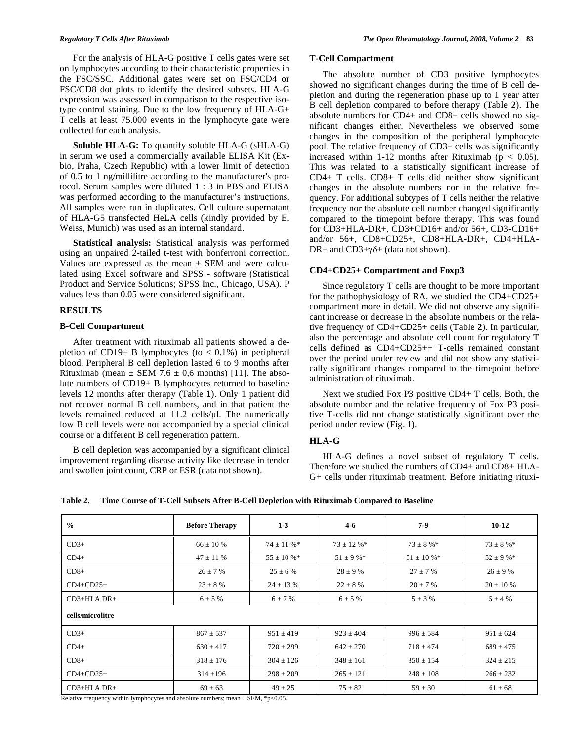For the analysis of HLA-G positive T cells gates were set on lymphocytes according to their characteristic properties in the FSC/SSC. Additional gates were set on FSC/CD4 or FSC/CD8 dot plots to identify the desired subsets. HLA-G expression was assessed in comparison to the respective isotype control staining. Due to the low frequency of HLA-G+ T cells at least 75.000 events in the lymphocyte gate were collected for each analysis.

 **Soluble HLA-G:** To quantify soluble HLA-G (sHLA-G) in serum we used a commercially available ELISA Kit (Exbio, Praha, Czech Republic) with a lower limit of detection of 0.5 to 1 ng/millilitre according to the manufacturer's protocol. Serum samples were diluted 1 : 3 in PBS and ELISA was performed according to the manufacturer's instructions. All samples were run in duplicates. Cell culture supernatant of HLA-G5 transfected HeLA cells (kindly provided by E. Weiss, Munich) was used as an internal standard.

 **Statistical analysis:** Statistical analysis was performed using an unpaired 2-tailed t-test with bonferroni correction. Values are expressed as the mean  $\pm$  SEM and were calculated using Excel software and SPSS - software (Statistical Product and Service Solutions; SPSS Inc., Chicago, USA). P values less than 0.05 were considered significant.

#### **RESULTS**

#### **B-Cell Compartment**

 After treatment with rituximab all patients showed a depletion of CD19+ B lymphocytes (to  $< 0.1\%$ ) in peripheral blood. Peripheral B cell depletion lasted 6 to 9 months after Rituximab (mean  $\pm$  SEM 7.6  $\pm$  0.6 months) [11]. The absolute numbers of CD19+ B lymphocytes returned to baseline levels 12 months after therapy (Table **1**). Only 1 patient did not recover normal B cell numbers, and in that patient the levels remained reduced at 11.2 cells/μl. The numerically low B cell levels were not accompanied by a special clinical course or a different B cell regeneration pattern.

 B cell depletion was accompanied by a significant clinical improvement regarding disease activity like decrease in tender and swollen joint count, CRP or ESR (data not shown).

#### **T-Cell Compartment**

 The absolute number of CD3 positive lymphocytes showed no significant changes during the time of B cell depletion and during the regeneration phase up to 1 year after B cell depletion compared to before therapy (Table **2**). The absolute numbers for CD4+ and CD8+ cells showed no significant changes either. Nevertheless we observed some changes in the composition of the peripheral lymphocyte pool. The relative frequency of CD3+ cells was significantly increased within 1-12 months after Rituximab ( $p < 0.05$ ). This was related to a statistically significant increase of CD4+ T cells. CD8+ T cells did neither show significant changes in the absolute numbers nor in the relative frequency. For additional subtypes of T cells neither the relative frequency nor the absolute cell number changed significantly compared to the timepoint before therapy. This was found for CD3+HLA-DR+, CD3+CD16+ and/or 56+, CD3-CD16+ and/or 56+, CD8+CD25+, CD8+HLA-DR+, CD4+HLA-DR+ and CD3+ $\gamma\delta$ + (data not shown).

#### **CD4+CD25+ Compartment and Foxp3**

 Since regulatory T cells are thought to be more important for the pathophysiology of RA, we studied the CD4+CD25+ compartment more in detail. We did not observe any significant increase or decrease in the absolute numbers or the relative frequency of CD4+CD25+ cells (Table **2**). In particular, also the percentage and absolute cell count for regulatory T cells defined as CD4+CD25++ T-cells remained constant over the period under review and did not show any statistically significant changes compared to the timepoint before administration of rituximab.

 Next we studied Fox P3 positive CD4+ T cells. Both, the absolute number and the relative frequency of Fox P3 positive T-cells did not change statistically significant over the period under review (Fig. **1**).

#### **HLA-G**

 HLA-G defines a novel subset of regulatory T cells. Therefore we studied the numbers of CD4+ and CD8+ HLA-G+ cells under rituximab treatment. Before initiating rituxi-

| $\frac{0}{0}$                                                                        | <b>Before Therapy</b> | $1-3$          | $4 - 6$         | $7-9$          | $10 - 12$       |
|--------------------------------------------------------------------------------------|-----------------------|----------------|-----------------|----------------|-----------------|
| $CD3+$                                                                               | $66 \pm 10 \%$        | $74 \pm 11$ %* | $73 \pm 12$ %*  | $73 \pm 8 \%$  | $73 \pm 8 \%$   |
| $CD4+$                                                                               | $47 \pm 11$ %         | $55 \pm 10 \%$ | $51 \pm 9 \%$ * | $51 \pm 10 \%$ | $52 \pm 9 \%$ * |
| $CD8+$                                                                               | $26 \pm 7%$           | $25 \pm 6 \%$  | $28 \pm 9 \%$   | $27 \pm 7$ %   | $26 \pm 9 \%$   |
| $CD4+CD25+$                                                                          | $23 \pm 8 \%$         | $24 \pm 13$ %  | $22 \pm 8 \%$   | $20 \pm 7%$    | $20 \pm 10 \%$  |
| $CD3+HLA DR+$                                                                        | $6 \pm 5 \%$          | $6 \pm 7%$     | $6 \pm 5 \%$    | $5 \pm 3 \%$   | $5 \pm 4 \%$    |
| cells/microlitre                                                                     |                       |                |                 |                |                 |
| $CD3+$                                                                               | $867 \pm 537$         | $951 \pm 419$  | $923 \pm 404$   | $996 \pm 584$  | $951 \pm 624$   |
| $CD4+$                                                                               | $630 \pm 417$         | $720 \pm 299$  | $642 \pm 270$   | $718 \pm 474$  | $689 \pm 475$   |
| $CD8+$                                                                               | $318 \pm 176$         | $304 \pm 126$  | $348 \pm 161$   | $350 \pm 154$  | $324 \pm 215$   |
| $CD4+CD25+$                                                                          | $314 + 196$           | $298 \pm 209$  | $265 \pm 121$   | $248 \pm 108$  | $266 \pm 232$   |
| $CD3+HLA DR+$                                                                        | $69 \pm 63$           | $49 \pm 25$    | $75 \pm 82$     | $59 \pm 30$    | $61 \pm 68$     |
| Relative frequency within lymphocytes and absolute numbers; mean $\pm$ SEM, *p<0.05. |                       |                |                 |                |                 |

**Table 2. Time Course of T-Cell Subsets After B-Cell Depletion with Rituximab Compared to Baseline**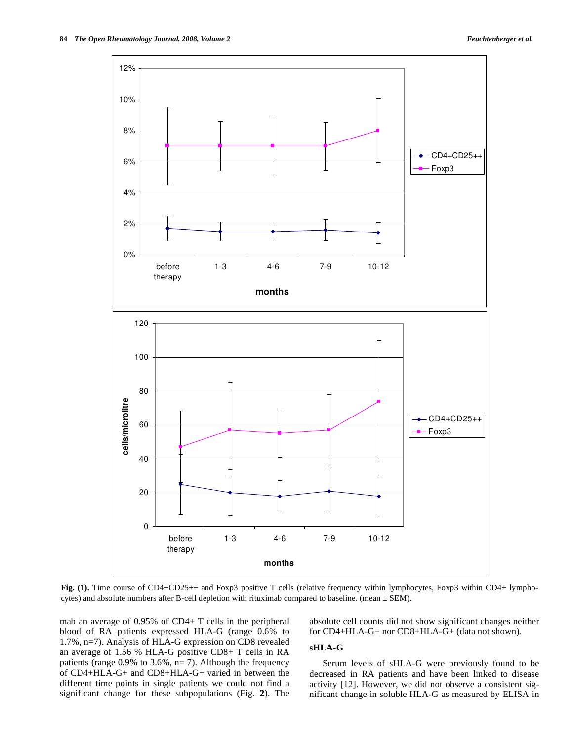

Fig. (1). Time course of CD4+CD25++ and Foxp3 positive T cells (relative frequency within lymphocytes, Foxp3 within CD4+ lymphocytes) and absolute numbers after B-cell depletion with rituximab compared to baseline. (mean ± SEM).

mab an average of 0.95% of CD4+ T cells in the peripheral blood of RA patients expressed HLA-G (range 0.6% to 1.7%, n=7). Analysis of HLA-G expression on CD8 revealed an average of 1.56 % HLA-G positive CD8+ T cells in RA patients (range  $0.9\%$  to  $3.6\%, n=7$ ). Although the frequency of CD4+HLA-G+ and CD8+HLA-G+ varied in between the different time points in single patients we could not find a significant change for these subpopulations (Fig. **2**). The absolute cell counts did not show significant changes neither for CD4+HLA-G+ nor CD8+HLA-G+ (data not shown).

#### **sHLA-G**

 Serum levels of sHLA-G were previously found to be decreased in RA patients and have been linked to disease activity [12]. However, we did not observe a consistent significant change in soluble HLA-G as measured by ELISA in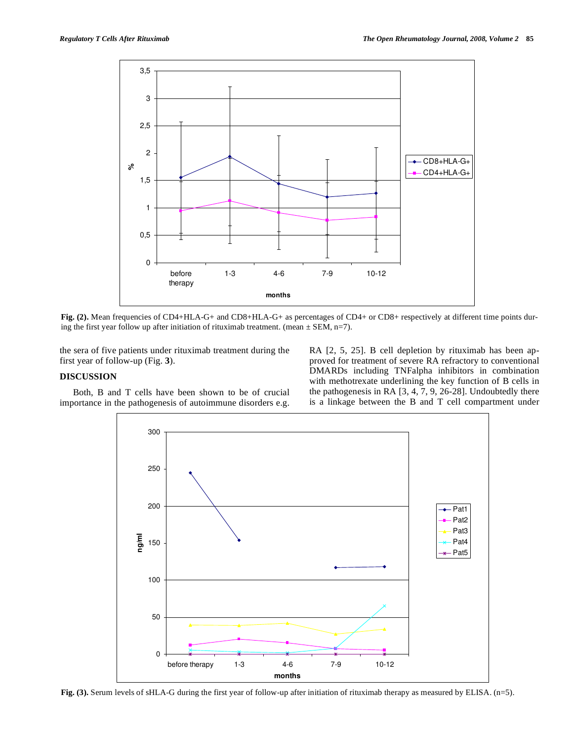

Fig. (2). Mean frequencies of CD4+HLA-G+ and CD8+HLA-G+ as percentages of CD4+ or CD8+ respectively at different time points during the first year follow up after initiation of rituximab treatment. (mean  $\pm$  SEM, n=7).

the sera of five patients under rituximab treatment during the first year of follow-up (Fig. **3**).

## **DISCUSSION**

 Both, B and T cells have been shown to be of crucial importance in the pathogenesis of autoimmune disorders e.g. RA [2, 5, 25]. B cell depletion by rituximab has been approved for treatment of severe RA refractory to conventional DMARDs including TNFalpha inhibitors in combination with methotrexate underlining the key function of B cells in the pathogenesis in RA [3, 4, 7, 9, 26-28]. Undoubtedly there is a linkage between the B and T cell compartment under



**Fig. (3).** Serum levels of sHLA-G during the first year of follow-up after initiation of rituximab therapy as measured by ELISA. (n=5).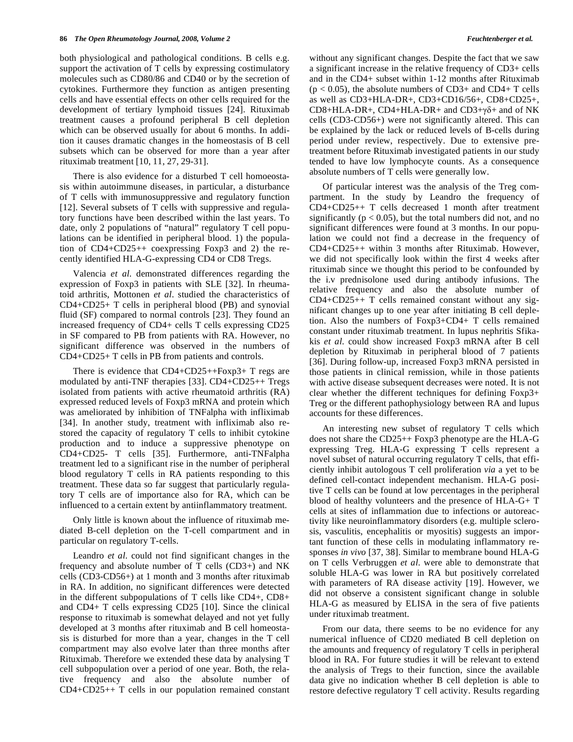both physiological and pathological conditions. B cells e.g. support the activation of T cells by expressing costimulatory molecules such as CD80/86 and CD40 or by the secretion of cytokines. Furthermore they function as antigen presenting cells and have essential effects on other cells required for the development of tertiary lymphoid tissues [24]. Rituximab treatment causes a profound peripheral B cell depletion which can be observed usually for about 6 months. In addition it causes dramatic changes in the homeostasis of B cell subsets which can be observed for more than a year after rituximab treatment [10, 11, 27, 29-31].

 There is also evidence for a disturbed T cell homoeostasis within autoimmune diseases, in particular, a disturbance of T cells with immunosuppressive and regulatory function [12]. Several subsets of T cells with suppressive and regulatory functions have been described within the last years. To date, only 2 populations of "natural" regulatory T cell populations can be identified in peripheral blood. 1) the population of CD4+CD25++ coexpressing Foxp3 and 2) the recently identified HLA-G-expressing CD4 or CD8 Tregs.

 Valencia *et al*. demonstrated differences regarding the expression of Foxp3 in patients with SLE [32]. In rheumatoid arthritis, Mottonen *et al*. studied the characteristics of CD4+CD25+ T cells in peripheral blood (PB) and synovial fluid (SF) compared to normal controls [23]. They found an increased frequency of CD4+ cells T cells expressing CD25 in SF compared to PB from patients with RA. However, no significant difference was observed in the numbers of CD4+CD25+ T cells in PB from patients and controls.

 There is evidence that CD4+CD25++Foxp3+ T regs are modulated by anti-TNF therapies [33]. CD4+CD25++ Tregs isolated from patients with active rheumatoid arthritis (RA) expressed reduced levels of Foxp3 mRNA and protein which was ameliorated by inhibition of TNFalpha with infliximab [34]. In another study, treatment with infliximab also restored the capacity of regulatory T cells to inhibit cytokine production and to induce a suppressive phenotype on CD4+CD25- T cells [35]. Furthermore, anti-TNFalpha treatment led to a significant rise in the number of peripheral blood regulatory T cells in RA patients responding to this treatment. These data so far suggest that particularly regulatory T cells are of importance also for RA, which can be influenced to a certain extent by antiinflammatory treatment.

 Only little is known about the influence of rituximab mediated B-cell depletion on the T-cell compartment and in particular on regulatory T-cells.

 Leandro *et al*. could not find significant changes in the frequency and absolute number of T cells (CD3+) and NK cells (CD3-CD56+) at 1 month and 3 months after rituximab in RA. In addition, no significant differences were detected in the different subpopulations of T cells like CD4+, CD8+ and CD4+ T cells expressing CD25 [10]. Since the clinical response to rituximab is somewhat delayed and not yet fully developed at 3 months after rituximab and B cell homeostasis is disturbed for more than a year, changes in the T cell compartment may also evolve later than three months after Rituximab. Therefore we extended these data by analysing T cell subpopulation over a period of one year. Both, the relative frequency and also the absolute number of CD4+CD25++ T cells in our population remained constant

without any significant changes. Despite the fact that we saw a significant increase in the relative frequency of CD3+ cells and in the CD4+ subset within 1-12 months after Rituximab  $(p < 0.05)$ , the absolute numbers of CD3+ and CD4+ T cells as well as CD3+HLA-DR+, CD3+CD16/56+, CD8+CD25+,  $CD8+HLA-DR+$ ,  $CD4+HLA-DR+$  and  $CD3+\gamma\delta+$  and of NK cells (CD3-CD56+) were not significantly altered. This can be explained by the lack or reduced levels of B-cells during period under review, respectively. Due to extensive pretreatment before Rituximab investigated patients in our study tended to have low lymphocyte counts. As a consequence absolute numbers of T cells were generally low.

 Of particular interest was the analysis of the Treg compartment. In the study by Leandro the frequency of CD4+CD25++ T cells decreased 1 month after treatment significantly ( $p < 0.05$ ), but the total numbers did not, and no significant differences were found at 3 months. In our population we could not find a decrease in the frequency of CD4+CD25++ within 3 months after Rituximab. However, we did not specifically look within the first 4 weeks after rituximab since we thought this period to be confounded by the i.v prednisolone used during antibody infusions. The relative frequency and also the absolute number of CD4+CD25++ T cells remained constant without any significant changes up to one year after initiating B cell depletion. Also the numbers of Foxp3+CD4+ T cells remained constant under rituximab treatment. In lupus nephritis Sfikakis *et al*. could show increased Foxp3 mRNA after B cell depletion by Rituximab in peripheral blood of 7 patients [36]. During follow-up, increased Foxp3 mRNA persisted in those patients in clinical remission, while in those patients with active disease subsequent decreases were noted. It is not clear whether the different techniques for defining Foxp3+ Treg or the different pathophysiology between RA and lupus accounts for these differences.

 An interesting new subset of regulatory T cells which does not share the CD25++ Foxp3 phenotype are the HLA-G expressing Treg. HLA-G expressing T cells represent a novel subset of natural occurring regulatory T cells, that efficiently inhibit autologous T cell proliferation *via* a yet to be defined cell-contact independent mechanism. HLA-G positive T cells can be found at low percentages in the peripheral blood of healthy volunteers and the presence of HLA-G+ T cells at sites of inflammation due to infections or autoreactivity like neuroinflammatory disorders (e.g. multiple sclerosis, vasculitis, encephalitis or myositis) suggests an important function of these cells in modulating inflammatory responses *in vivo* [37, 38]. Similar to membrane bound HLA-G on T cells Verbruggen *et al*. were able to demonstrate that soluble HLA-G was lower in RA but positively correlated with parameters of RA disease activity [19]. However, we did not observe a consistent significant change in soluble HLA-G as measured by ELISA in the sera of five patients under rituximab treatment.

 From our data, there seems to be no evidence for any numerical influence of CD20 mediated B cell depletion on the amounts and frequency of regulatory T cells in peripheral blood in RA. For future studies it will be relevant to extend the analysis of Tregs to their function, since the available data give no indication whether B cell depletion is able to restore defective regulatory T cell activity. Results regarding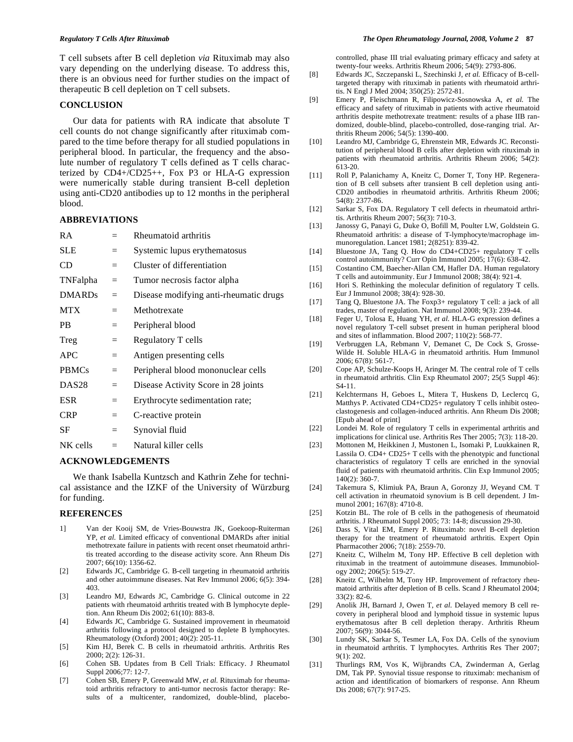T cell subsets after B cell depletion *via* Rituximab may also vary depending on the underlying disease. To address this, there is an obvious need for further studies on the impact of therapeutic B cell depletion on T cell subsets.

#### **CONCLUSION**

 Our data for patients with RA indicate that absolute T cell counts do not change significantly after rituximab compared to the time before therapy for all studied populations in peripheral blood. In particular, the frequency and the absolute number of regulatory T cells defined as T cells characterized by CD4+/CD25++, Fox P3 or HLA-G expression were numerically stable during transient B-cell depletion using anti-CD20 antibodies up to 12 months in the peripheral blood.

#### **ABBREVIATIONS**

| <b>RA</b>         | $=$ | Rheumatoid arthritis                   |
|-------------------|-----|----------------------------------------|
| <b>SLE</b>        | $=$ | Systemic lupus erythematosus           |
| <b>CD</b>         | $=$ | Cluster of differentiation             |
| TNFalpha          | $=$ | Tumor necrosis factor alpha            |
| <b>DMARDs</b>     | $=$ | Disease modifying anti-rheumatic drugs |
| <b>MTX</b>        | $=$ | Methotrexate                           |
| <b>PB</b>         | $=$ | Peripheral blood                       |
| Treg              | $=$ | Regulatory T cells                     |
| APC               | $=$ | Antigen presenting cells               |
| <b>PBMCs</b>      | $=$ | Peripheral blood mononuclear cells     |
| DAS <sub>28</sub> | $=$ | Disease Activity Score in 28 joints    |
| <b>ESR</b>        | $=$ | Erythrocyte sedimentation rate;        |
| <b>CRP</b>        | $=$ | C-reactive protein                     |
| SF                | $=$ | Synovial fluid                         |
| NK cells          | $=$ | Natural killer cells                   |

#### **ACKNOWLEDGEMENTS**

 We thank Isabella Kuntzsch and Kathrin Zehe for technical assistance and the IZKF of the University of Würzburg for funding.

#### **REFERENCES**

- 1] Van der Kooij SM, de Vries-Bouwstra JK, Goekoop-Ruiterman YP, *et al.* Limited efficacy of conventional DMARDs after initial methotrexate failure in patients with recent onset rheumatoid arthritis treated according to the disease activity score. Ann Rheum Dis 2007; 66(10): 1356-62.
- [2] Edwards JC, Cambridge G. B-cell targeting in rheumatoid arthritis and other autoimmune diseases. Nat Rev Immunol 2006; 6(5): 394- 403.
- [3] Leandro MJ, Edwards JC, Cambridge G. Clinical outcome in 22 patients with rheumatoid arthritis treated with B lymphocyte depletion. Ann Rheum Dis 2002; 61(10): 883-8.
- [4] Edwards JC, Cambridge G. Sustained improvement in rheumatoid arthritis following a protocol designed to deplete B lymphocytes. Rheumatology (Oxford) 2001; 40(2): 205-11.
- [5] Kim HJ, Berek C. B cells in rheumatoid arthritis. Arthritis Res 2000; 2(2): 126-31.
- [6] Cohen SB. Updates from B Cell Trials: Efficacy. J Rheumatol Suppl 2006;77: 12-7.
- [7] Cohen SB, Emery P, Greenwald MW, *et al.* Rituximab for rheumatoid arthritis refractory to anti-tumor necrosis factor therapy: Results of a multicenter, randomized, double-blind, placebo-

controlled, phase III trial evaluating primary efficacy and safety at twenty-four weeks. Arthritis Rheum 2006; 54(9): 2793-806.

- [8] Edwards JC, Szczepanski L, Szechinski J, *et al.* Efficacy of B-celltargeted therapy with rituximab in patients with rheumatoid arthritis. N Engl J Med 2004; 350(25): 2572-81.
- [9] Emery P, Fleischmann R, Filipowicz-Sosnowska A, *et al.* The efficacy and safety of rituximab in patients with active rheumatoid arthritis despite methotrexate treatment: results of a phase IIB randomized, double-blind, placebo-controlled, dose-ranging trial. Arthritis Rheum 2006; 54(5): 1390-400.
- [10] Leandro MJ, Cambridge G, Ehrenstein MR, Edwards JC. Reconstitution of peripheral blood B cells after depletion with rituximab in patients with rheumatoid arthritis. Arthritis Rheum 2006; 54(2): 613-20.
- [11] Roll P, Palanichamy A, Kneitz C, Dorner T, Tony HP. Regeneration of B cell subsets after transient B cell depletion using anti-CD20 antibodies in rheumatoid arthritis. Arthritis Rheum 2006; 54(8): 2377-86.
- [12] Sarkar S, Fox DA. Regulatory T cell defects in rheumatoid arthritis. Arthritis Rheum 2007; 56(3): 710-3.
- [13] Janossy G, Panayi G, Duke O, Bofill M, Poulter LW, Goldstein G. Rheumatoid arthritis: a disease of T-lymphocyte/macrophage immunoregulation. Lancet 1981; 2(8251): 839-42.
- [14] Bluestone JA, Tang Q. How do CD4+CD25+ regulatory T cells control autoimmunity? Curr Opin Immunol 2005; 17(6): 638-42.
- [15] Costantino CM, Baecher-Allan CM, Hafler DA. Human regulatory T cells and autoimmunity. Eur J Immunol 2008; 38(4): 921-4.
- [16] Hori S. Rethinking the molecular definition of regulatory T cells. Eur J Immunol 2008; 38(4): 928-30.
- [17] Tang Q, Bluestone JA. The Foxp3+ regulatory T cell: a jack of all trades, master of regulation. Nat Immunol 2008; 9(3): 239-44.
- [18] Feger U, Tolosa E, Huang YH, *et al*. HLA-G expression defines a novel regulatory T-cell subset present in human peripheral blood and sites of inflammation. Blood 2007; 110(2): 568-77.
- [19] Verbruggen LA, Rebmann V, Demanet C, De Cock S, Grosse-Wilde H. Soluble HLA-G in rheumatoid arthritis. Hum Immunol 2006; 67(8): 561-7.
- [20] Cope AP, Schulze-Koops H, Aringer M. The central role of T cells in rheumatoid arthritis. Clin Exp Rheumatol 2007; 25(5 Suppl 46): S4-11.
- [21] Kelchtermans H, Geboes L, Mitera T, Huskens D, Leclercq G, Matthys P. Activated CD4+CD25+ regulatory T cells inhibit osteoclastogenesis and collagen-induced arthritis. Ann Rheum Dis 2008; [Epub ahead of print]
- [22] Londei M. Role of regulatory T cells in experimental arthritis and implications for clinical use. Arthritis Res Ther 2005; 7(3): 118-20.
- [23] Mottonen M, Heikkinen J, Mustonen L, Isomaki P, Luukkainen R, Lassila O. CD4+ CD25+ T cells with the phenotypic and functional characteristics of regulatory T cells are enriched in the synovial fluid of patients with rheumatoid arthritis. Clin Exp Immunol 2005; 140(2): 360-7.
- [24] Takemura S, Klimiuk PA, Braun A, Goronzy JJ, Weyand CM. T cell activation in rheumatoid synovium is B cell dependent. J Immunol 2001; 167(8): 4710-8.
- [25] Kotzin BL. The role of B cells in the pathogenesis of rheumatoid arthritis. J Rheumatol Suppl 2005; 73: 14-8; discussion 29-30.
- [26] Dass S, Vital EM, Emery P. Rituximab: novel B-cell depletion therapy for the treatment of rheumatoid arthritis. Expert Opin Pharmacother 2006; 7(18): 2559-70.
- [27] Kneitz C, Wilhelm M, Tony HP. Effective B cell depletion with rituximab in the treatment of autoimmune diseases. Immunobiology 2002; 206(5): 519-27.
- [28] Kneitz C, Wilhelm M, Tony HP. Improvement of refractory rheumatoid arthritis after depletion of B cells. Scand J Rheumatol 2004; 33(2): 82-6.
- [29] Anolik JH, Barnard J, Owen T, *et al*. Delayed memory B cell recovery in peripheral blood and lymphoid tissue in systemic lupus erythematosus after B cell depletion therapy. Arthritis Rheum 2007; 56(9): 3044-56.
- [30] Lundy SK, Sarkar S, Tesmer LA, Fox DA. Cells of the synovium in rheumatoid arthritis. T lymphocytes. Arthritis Res Ther 2007; 9(1): 202.
- [31] Thurlings RM, Vos K, Wijbrandts CA, Zwinderman A, Gerlag DM, Tak PP. Synovial tissue response to rituximab: mechanism of action and identification of biomarkers of response. Ann Rheum Dis 2008; 67(7): 917-25.